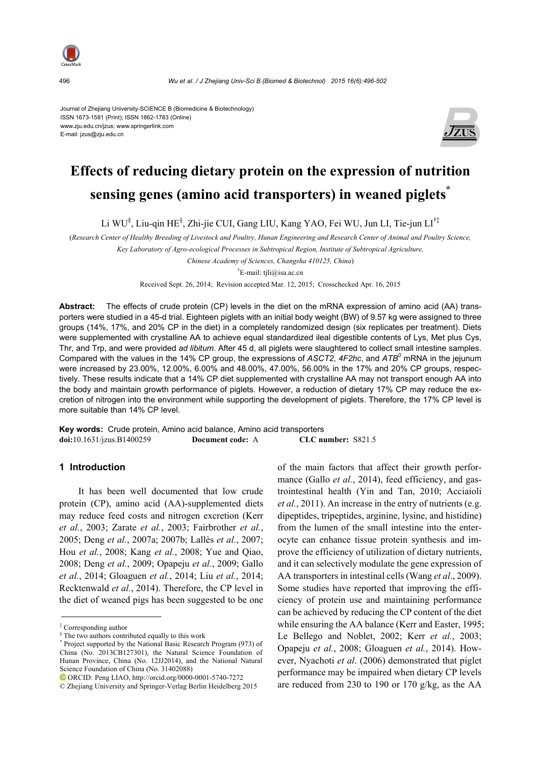

Journal of Zhejiang University-SCIENCE B (Biomedicine & Biotechnology) ISSN 1673-1581 (Print); ISSN 1862-1783 (Online) www.zju.edu.cn/jzus; www.springerlink.com E-mail: jzus@zju.edu.cn



# **Effects of reducing dietary protein on the expression of nutrition sensing genes (amino acid transporters) in weaned piglets\***

Li WU§ , Liu-qin HE§ , Zhi-jie CUI, Gang LIU, Kang YAO, Fei WU, Jun LI, Tie-jun LI†‡

(*Research Center of Healthy Breeding of Livestock and Poultry, Hunan Engineering and Research Center of Animal and Poultry Science, Key Laboratory of Agro-ecological Processes in Subtropical Region, Institute of Subtropical Agriculture,* 

*Chinese Academy of Sciences, Changsha 410125, China*)

† E-mail: tjli@isa.ac.cn

Received Sept. 26, 2014; Revision accepted Mar. 12, 2015; Crosschecked Apr. 16, 2015

**Abstract:** The effects of crude protein (CP) levels in the diet on the mRNA expression of amino acid (AA) transporters were studied in a 45-d trial. Eighteen piglets with an initial body weight (BW) of 9.57 kg were assigned to three groups (14%, 17%, and 20% CP in the diet) in a completely randomized design (six replicates per treatment). Diets were supplemented with crystalline AA to achieve equal standardized ileal digestible contents of Lys, Met plus Cys, Thr, and Trp, and were provided *ad libitum*. After 45 d, all piglets were slaughtered to collect small intestine samples. Compared with the values in the 14% CP group, the expressions of *ASCT2*, 4F2hc, and ATB<sup>0</sup> mRNA in the jejunum were increased by 23.00%, 12.00%, 6.00% and 48.00%, 47.00%, 56.00% in the 17% and 20% CP groups, respectively. These results indicate that a 14% CP diet supplemented with crystalline AA may not transport enough AA into the body and maintain growth performance of piglets. However, a reduction of dietary 17% CP may reduce the excretion of nitrogen into the environment while supporting the development of piglets. Therefore, the 17% CP level is more suitable than 14% CP level.

**Key words:** Crude protein, Amino acid balance, Amino acid transporters **doi:**10.1631/jzus.B1400259 **Document code:** A **CLC number:** S821.5

#### **1 Introduction**

It has been well documented that low crude protein (CP), amino acid (AA)-supplemented diets may reduce feed costs and nitrogen excretion (Kerr *et al.*, 2003; Zarate *et al.*, 2003; Fairbrother *et al.*, 2005; Deng *et al.*, 2007a; 2007b; Lallès *et al.*, 2007; Hou *et al.*, 2008; Kang *et al.*, 2008; Yue and Qiao, 2008; Deng *et al.*, 2009; Opapeju *et al.*, 2009; Gallo *et al.*, 2014; Gloaguen *et al.*, 2014; Liu *et al.*, 2014; Recktenwald *et al.*, 2014). Therefore, the CP level in the diet of weaned pigs has been suggested to be one of the main factors that affect their growth performance (Gallo *et al.*, 2014), feed efficiency, and gastrointestinal health (Yin and Tan, 2010; Acciaioli *et al.*, 2011). An increase in the entry of nutrients (e.g. dipeptides, tripeptides, arginine, lysine, and histidine) from the lumen of the small intestine into the enterocyte can enhance tissue protein synthesis and improve the efficiency of utilization of dietary nutrients, and it can selectively modulate the gene expression of AA transporters in intestinal cells (Wang *et al*., 2009). Some studies have reported that improving the efficiency of protein use and maintaining performance can be achieved by reducing the CP content of the diet while ensuring the AA balance (Kerr and Easter, 1995; Le Bellego and Noblet, 2002; Kerr *et al.*, 2003; Opapeju *et al.*, 2008; Gloaguen *et al.*, 2014). However, Nyachoti *et al*. (2006) demonstrated that piglet performance may be impaired when dietary CP levels are reduced from 230 to 190 or 170 g/kg, as the AA

<sup>‡</sup> Corresponding author

<sup>§</sup> The two authors contributed equally to this work

<sup>\*</sup> Project supported by the National Basic Research Program (973) of China (No. 2013CB127301), the Natural Science Foundation of Hunan Province, China (No. 12JJ2014), and the National Natural Science Foundation of China (No. 31402088)

ORCID: Peng LIAO, http://orcid.org/0000-0001-5740-7272

<sup>©</sup> Zhejiang University and Springer-Verlag Berlin Heidelberg 2015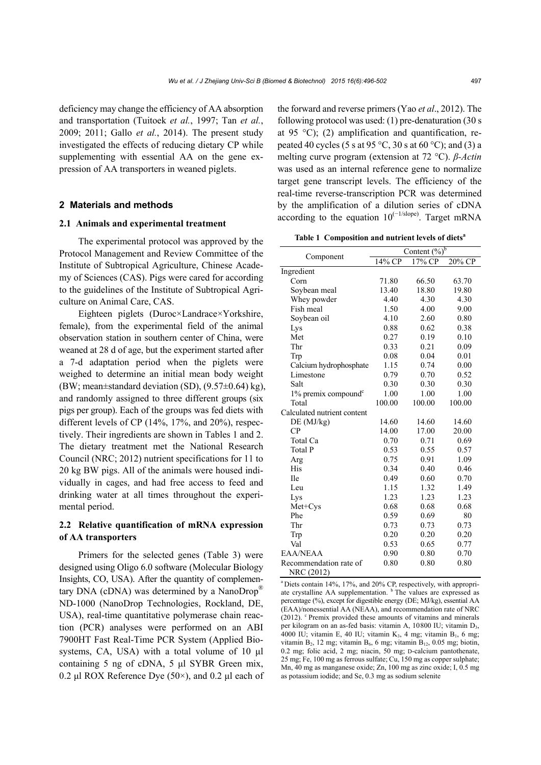deficiency may change the efficiency of AA absorption and transportation (Tuitoek *et al.*, 1997; Tan *et al.*, 2009; 2011; Gallo *et al.*, 2014). The present study investigated the effects of reducing dietary CP while supplementing with essential AA on the gene expression of AA transporters in weaned piglets.

## **2 Materials and methods**

#### **2.1 Animals and experimental treatment**

The experimental protocol was approved by the Protocol Management and Review Committee of the Institute of Subtropical Agriculture, Chinese Academy of Sciences (CAS). Pigs were cared for according to the guidelines of the Institute of Subtropical Agriculture on Animal Care, CAS.

Eighteen piglets (Duroc×Landrace×Yorkshire, female), from the experimental field of the animal observation station in southern center of China, were weaned at 28 d of age, but the experiment started after a 7-d adaptation period when the piglets were weighed to determine an initial mean body weight (BW; mean±standard deviation (SD), (9.57±0.64) kg), and randomly assigned to three different groups (six pigs per group). Each of the groups was fed diets with different levels of CP (14%, 17%, and 20%), respectively. Their ingredients are shown in Tables 1 and 2. The dietary treatment met the National Research Council (NRC; 2012) nutrient specifications for 11 to 20 kg BW pigs. All of the animals were housed individually in cages, and had free access to feed and drinking water at all times throughout the experimental period.

# **2.2 Relative quantification of mRNA expression of AA transporters**

Primers for the selected genes (Table 3) were designed using Oligo 6.0 software (Molecular Biology Insights, CO, USA). After the quantity of complementary DNA (cDNA) was determined by a NanoDrop® ND-1000 (NanoDrop Technologies, Rockland, DE, USA), real-time quantitative polymerase chain reaction (PCR) analyses were performed on an ABI 7900HT Fast Real-Time PCR System (Applied Biosystems, CA, USA) with a total volume of 10 μl containing 5 ng of cDNA, 5 μl SYBR Green mix, 0.2 μl ROX Reference Dye (50×), and 0.2 μl each of the forward and reverse primers (Yao *et al*., 2012). The following protocol was used: (1) pre-denaturation (30 s at 95  $^{\circ}$ C); (2) amplification and quantification, repeated 40 cycles (5 s at 95 °C, 30 s at 60 °C); and (3) a melting curve program (extension at 72 °C). *β-Actin* was used as an internal reference gene to normalize target gene transcript levels. The efficiency of the real-time reverse-transcription PCR was determined by the amplification of a dilution series of cDNA according to the equation  $10^{(-1/\text{slope})}$ . Target mRNA

Table 1 Composition and nutrient levels of diets<sup>a</sup>

|                                      | Content $(\overline{\%})^b$ |        |        |  |
|--------------------------------------|-----------------------------|--------|--------|--|
| Component                            | 14% CP                      | 17% CP | 20% CP |  |
| Ingredient                           |                             |        |        |  |
| Corn                                 | 71.80                       | 66.50  | 63.70  |  |
| Soybean meal                         | 13.40                       | 18.80  | 19.80  |  |
| Whey powder                          | 4.40                        | 4.30   | 4.30   |  |
| Fish meal                            | 1.50                        | 4.00   | 9.00   |  |
| Soybean oil                          | 4.10                        | 2.60   | 0.80   |  |
| Lys                                  | 0.88                        | 0.62   | 0.38   |  |
| Met                                  | 0.27                        | 0.19   | 0.10   |  |
| Thr                                  | 0.33                        | 0.21   | 0.09   |  |
| Trp                                  | 0.08                        | 0.04   | 0.01   |  |
| Calcium hydrophosphate               | 1.15                        | 0.74   | 0.00   |  |
| Limestone                            | 0.79                        | 0.70   | 0.52   |  |
| Salt                                 | 0.30                        | 0.30   | 0.30   |  |
| $1\%$ premix compound <sup>c</sup>   | 1.00                        | 1.00   | 1.00   |  |
| Total                                | 100.00                      | 100.00 | 100.00 |  |
| Calculated nutrient content          |                             |        |        |  |
| DE (MJ/kg)                           | 14.60                       | 14.60  | 14.60  |  |
| CP                                   | 14.00                       | 17.00  | 20.00  |  |
| Total Ca                             | 0.70                        | 0.71   | 0.69   |  |
| Total P                              | 0.53                        | 0.55   | 0.57   |  |
| Arg                                  | 0.75                        | 0.91   | 1.09   |  |
| <b>His</b>                           | 0.34                        | 0.40   | 0.46   |  |
| <b>Ile</b>                           | 0.49                        | 0.60   | 0.70   |  |
| Leu                                  | 1.15                        | 1.32   | 1.49   |  |
| Lys                                  | 1.23                        | 1.23   | 1.23   |  |
| Met+Cys                              | 0.68                        | 0.68   | 0.68   |  |
| Phe                                  | 0.59                        | 0.69   | 80     |  |
| Thr                                  | 0.73                        | 0.73   | 0.73   |  |
| Trp                                  | 0.20                        | 0.20   | 0.20   |  |
| Val                                  | 0.53                        | 0.65   | 0.77   |  |
| EAA/NEAA                             | 0.90                        | 0.80   | 0.70   |  |
| Recommendation rate of<br>NRC (2012) | 0.80                        | 0.80   | 0.80   |  |

a Diets contain 14%, 17%, and 20% CP, respectively, with appropriate crystalline AA supplementation. <sup>b</sup> The values are expressed as percentage (%), except for digestible energy (DE; MJ/kg), essential AA (EAA)/nonessential AA (NEAA), and recommendation rate of NRC (2012). <sup>c</sup> Premix provided these amounts of vitamins and minerals per kilogram on an as-fed basis: vitamin A, 10800 IU; vitamin D3, 4000 IU; vitamin E, 40 IU; vitamin K<sub>3</sub>, 4 mg; vitamin B<sub>1</sub>, 6 mg; vitamin  $B_2$ , 12 mg; vitamin  $B_6$ , 6 mg; vitamin  $B_{12}$ , 0.05 mg; biotin, 0.2 mg; folic acid, 2 mg; niacin, 50 mg; D-calcium pantothenate, 25 mg; Fe, 100 mg as ferrous sulfate; Cu, 150 mg as copper sulphate; Mn, 40 mg as manganese oxide; Zn, 100 mg as zinc oxide; I, 0.5 mg as potassium iodide; and Se, 0.3 mg as sodium selenite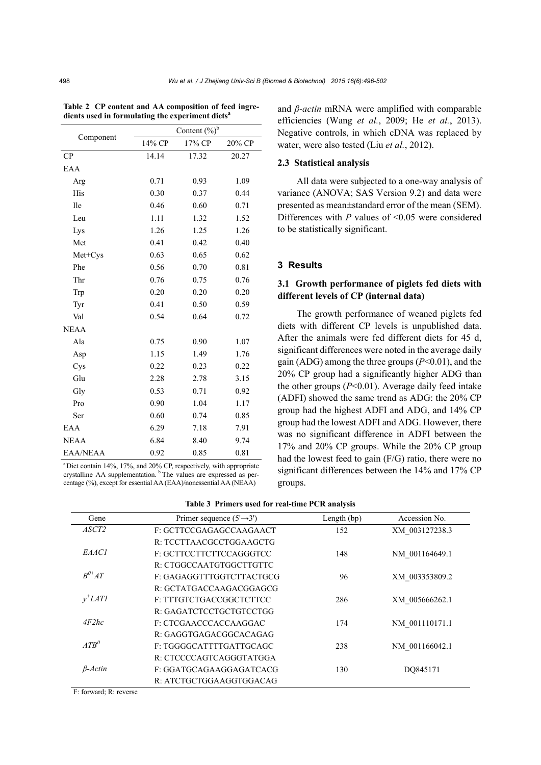| Content $(\%)^b$ |        |        |        |  |
|------------------|--------|--------|--------|--|
| Component        |        |        |        |  |
|                  | 14% CP | 17% CP | 20% CP |  |
| CP               | 14.14  | 17.32  | 20.27  |  |
| EAA              |        |        |        |  |
| Arg              | 0.71   | 0.93   | 1.09   |  |
| His              | 0.30   | 0.37   | 0.44   |  |
| <b>Ile</b>       | 0.46   | 0.60   | 0.71   |  |
| Leu              | 1.11   | 1.32   | 1.52   |  |
| Lys              | 1.26   | 1.25   | 1.26   |  |
| Met              | 0.41   | 0.42   | 0.40   |  |
| Met+Cys          | 0.63   | 0.65   | 0.62   |  |
| Phe              | 0.56   | 0.70   | 0.81   |  |
| Thr              | 0.76   | 0.75   | 0.76   |  |
| Trp              | 0.20   | 0.20   | 0.20   |  |
| Tyr              | 0.41   | 0.50   | 0.59   |  |
| Val              | 0.54   | 0.64   | 0.72   |  |
| <b>NEAA</b>      |        |        |        |  |
| Ala              | 0.75   | 0.90   | 1.07   |  |
| Asp              | 1.15   | 1.49   | 1.76   |  |
| Cys              | 0.22   | 0.23   | 0.22   |  |
| Glu              | 2.28   | 2.78   | 3.15   |  |
| Gly              | 0.53   | 0.71   | 0.92   |  |
| Pro              | 0.90   | 1.04   | 1.17   |  |
| Ser              | 0.60   | 0.74   | 0.85   |  |
| EAA              | 6.29   | 7.18   | 7.91   |  |
| <b>NEAA</b>      | 6.84   | 8.40   | 9.74   |  |
| <b>EAA/NEAA</b>  | 0.92   | 0.85   | 0.81   |  |

**Table 2 CP content and AA composition of feed ingredients used in formulating the experiment dietsa**

a Diet contain 14%, 17%, and 20% CP, respectively, with appropriate crystalline AA supplementation. <sup>b</sup> The values are expressed as percentage (%), except for essential AA (EAA)/nonessential AA (NEAA)

and *β-actin* mRNA were amplified with comparable efficiencies (Wang *et al.*, 2009; He *et al.*, 2013). Negative controls, in which cDNA was replaced by water, were also tested (Liu *et al.*, 2012).

#### **2.3 Statistical analysis**

All data were subjected to a one-way analysis of variance (ANOVA; SAS Version 9.2) and data were presented as mean±standard error of the mean (SEM). Differences with *P* values of <0.05 were considered to be statistically significant.

## **3 Results**

# **3.1 Growth performance of piglets fed diets with different levels of CP (internal data)**

The growth performance of weaned piglets fed diets with different CP levels is unpublished data. After the animals were fed different diets for 45 d, significant differences were noted in the average daily gain (ADG) among the three groups (*P*<0.01), and the 20% CP group had a significantly higher ADG than the other groups  $(P<0.01)$ . Average daily feed intake (ADFI) showed the same trend as ADG: the 20% CP group had the highest ADFI and ADG, and 14% CP group had the lowest ADFI and ADG. However, there was no significant difference in ADFI between the 17% and 20% CP groups. While the 20% CP group had the lowest feed to gain (F/G) ratio, there were no significant differences between the 14% and 17% CP groups.

| Table 3 Primers used for real-time PCR analysis |  |  |  |  |  |  |
|-------------------------------------------------|--|--|--|--|--|--|
|-------------------------------------------------|--|--|--|--|--|--|

| Gene              | Primer sequence $(5' \rightarrow 3')$ | Length $(bp)$ | Accession No.  |
|-------------------|---------------------------------------|---------------|----------------|
| ASCT <sub>2</sub> | F: GCTTCCGAGAGCCAAGAACT               | 152           | XM 003127238.3 |
|                   | R: TCCTTAACGCCTGGAAGCTG               |               |                |
| EAAC1             | F: GCTTCCTTCTTCCAGGGTCC               | 148           | NM 001164649.1 |
|                   | R: CTGGCCAATGTGGCTTGTTC               |               |                |
| $B^{0+}AT$        | F: GAGAGGTTTGGTCTTACTGCG              | 96            | XM 003353809.2 |
|                   | R: GCTATGACCAAGACGGAGCG               |               |                |
| $v^{\dagger}LATI$ | F: TTTGTCTGACCGGCTCTTCC               | 286           | XM 005666262.1 |
|                   | R: GAGATCTCCTGCTGTCCTGG               |               |                |
| 4F2hc             | F: CTCGAACCCACCAAGGAC                 | 174           | NM 001110171.1 |
|                   | R: GAGGTGAGACGGCACAGAG                |               |                |
| $ATR^0$           | F: TGGGGCATTTTGATTGCAGC               | 238           | NM 001166042.1 |
|                   | R: CTCCCCAGTCAGGGTATGGA               |               |                |
| $\beta$ -Actin    | F: GGATGCAGAAGGAGATCACG               | 130           | DO845171       |
|                   | R: ATCTGCTGGAAGGTGGACAG               |               |                |

F: forward; R: reverse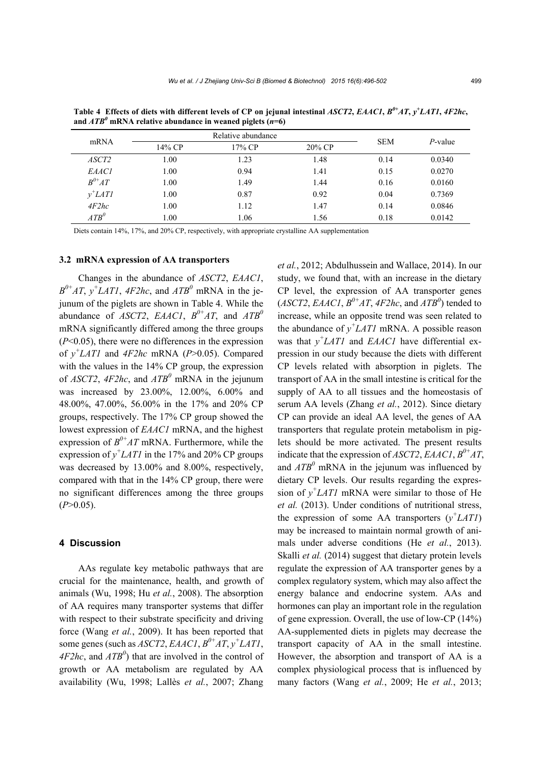| mRNA              |        | Relative abundance |        | <b>SEM</b> | $P$ -value |
|-------------------|--------|--------------------|--------|------------|------------|
|                   | 14% CP | 17% CP             | 20% CP |            |            |
| <i>ASCT2</i>      | 1.00   | 1.23               | 1.48   | 0.14       | 0.0340     |
| <i>EAACI</i>      | 1.00   | 0.94               | 1.41   | 0.15       | 0.0270     |
| $B^{0+}AT$        | 1.00   | 1.49               | 1.44   | 0.16       | 0.0160     |
| $y^{\dagger}LATI$ | 1.00   | 0.87               | 0.92   | 0.04       | 0.7369     |
| 4F2hc             | 1.00   | 1.12               | 1.47   | 0.14       | 0.0846     |
| $ATB^0$           | 0.00   | 1.06               | 1.56   | 0.18       | 0.0142     |

**Table 4** Effects of diets with different levels of CP on jejunal intestinal *ASCT2*, *EAAC1*,  $B^{\theta+}AT$ ,  $y^{\dagger}LAT1$ ,  $4F2hc$ , and  $ATB^{\theta}$  mRNA relative abundance in weaned piglets  $(n=6)$ 

Diets contain 14%, 17%, and 20% CP, respectively, with appropriate crystalline AA supplementation

#### **3.2 mRNA expression of AA transporters**

Changes in the abundance of *ASCT2*, *EAAC1*,  $B^{0+}AT$ ,  $y^{\dagger}LAT$ ,  $4F2hc$ , and  $ATB^{0}$  mRNA in the jejunum of the piglets are shown in Table 4. While the abundance of *ASCT2*, *EAAC1*,  $B^{0+}AT$ , and  $ATB^{0}$ mRNA significantly differed among the three groups (*P*<0.05), there were no differences in the expression of *y + LAT1* and *4F2hc* mRNA (*P*>0.05). Compared with the values in the 14% CP group, the expression of  $ASCT2$ ,  $4F2hc$ , and  $ATB<sup>0</sup>$  mRNA in the jejunum was increased by 23.00%, 12.00%, 6.00% and 48.00%, 47.00%, 56.00% in the 17% and 20% CP groups, respectively. The 17% CP group showed the lowest expression of *EAAC1* mRNA, and the highest expression of  $B^{0+}AT$  mRNA. Furthermore, while the expression of  $y^{\dagger}LATI$  in the 17% and 20% CP groups was decreased by 13.00% and 8.00%, respectively, compared with that in the 14% CP group, there were no significant differences among the three groups  $(P>0.05)$ .

#### **4 Discussion**

AAs regulate key metabolic pathways that are crucial for the maintenance, health, and growth of animals (Wu, 1998; Hu *et al.*, 2008). The absorption of AA requires many transporter systems that differ with respect to their substrate specificity and driving force (Wang *et al.*, 2009). It has been reported that some genes (such as *ASCT2*, *EAAC1*,  $B^{0+}AT$ ,  $y^{+}LAT1$ , *4F2hc*, and *ATB<sup>0</sup>* ) that are involved in the control of growth or AA metabolism are regulated by AA availability (Wu, 1998; Lallès *et al.*, 2007; Zhang

*et al.*, 2012; Abdulhussein and Wallace, 2014). In our study, we found that, with an increase in the dietary CP level, the expression of AA transporter genes  $(ASCT2, EAACI, B<sup>0+</sup>AT, 4F2hc, and ATB<sup>0</sup>)$  tended to increase, while an opposite trend was seen related to the abundance of  $y^+LATI$  mRNA. A possible reason was that *y + LAT1* and *EAAC1* have differential expression in our study because the diets with different CP levels related with absorption in piglets. The transport of AA in the small intestine is critical for the supply of AA to all tissues and the homeostasis of serum AA levels (Zhang *et al.*, 2012). Since dietary CP can provide an ideal AA level, the genes of AA transporters that regulate protein metabolism in piglets should be more activated. The present results indicate that the expression of *ASCT2*, *EAAC1*,  $B^{0+}AT$ , and  $A T B^0$  mRNA in the jejunum was influenced by dietary CP levels. Our results regarding the expression of  $y^{\dagger}LATI$  mRNA were similar to those of He *et al.* (2013). Under conditions of nutritional stress, the expression of some AA transporters  $(y^+LATI)$ may be increased to maintain normal growth of animals under adverse conditions (He *et al.*, 2013). Skalli *et al.* (2014) suggest that dietary protein levels regulate the expression of AA transporter genes by a complex regulatory system, which may also affect the energy balance and endocrine system. AAs and hormones can play an important role in the regulation of gene expression. Overall, the use of low-CP (14%) AA-supplemented diets in piglets may decrease the transport capacity of AA in the small intestine. However, the absorption and transport of AA is a complex physiological process that is influenced by many factors (Wang *et al.*, 2009; He *et al.*, 2013;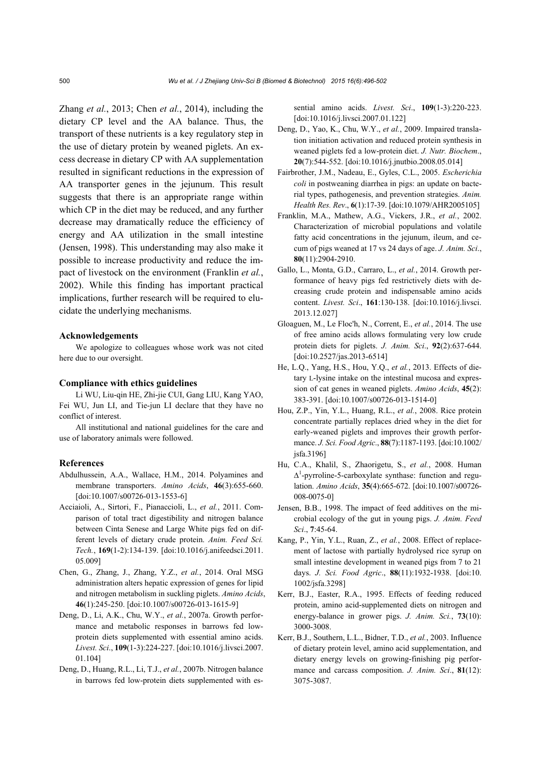Zhang *et al.*, 2013; Chen *et al.*, 2014), including the dietary CP level and the AA balance. Thus, the transport of these nutrients is a key regulatory step in the use of dietary protein by weaned piglets. An excess decrease in dietary CP with AA supplementation resulted in significant reductions in the expression of AA transporter genes in the jejunum. This result suggests that there is an appropriate range within which CP in the diet may be reduced, and any further decrease may dramatically reduce the efficiency of energy and AA utilization in the small intestine (Jensen, 1998). This understanding may also make it possible to increase productivity and reduce the impact of livestock on the environment (Franklin *et al.*, 2002). While this finding has important practical implications, further research will be required to elucidate the underlying mechanisms.

#### **Acknowledgements**

We apologize to colleagues whose work was not cited here due to our oversight.

#### **Compliance with ethics guidelines**

Li WU, Liu-qin HE, Zhi-jie CUI, Gang LIU, Kang YAO, Fei WU, Jun LI, and Tie-jun LI declare that they have no conflict of interest.

All institutional and national guidelines for the care and use of laboratory animals were followed.

#### **References**

- Abdulhussein, A.A., Wallace, H.M., 2014. Polyamines and membrane transporters. *Amino Acids*, **46**(3):655-660. [doi:10.1007/s00726-013-1553-6]
- Acciaioli, A., Sirtori, F., Pianaccioli, L., *et al.*, 2011. Comparison of total tract digestibility and nitrogen balance between Cinta Senese and Large White pigs fed on different levels of dietary crude protein. *Anim. Feed Sci. Tech.*, **169**(1-2):134-139. [doi:10.1016/j.anifeedsci.2011. 05.009]
- Chen, G., Zhang, J., Zhang, Y.Z., *et al.*, 2014. Oral MSG administration alters hepatic expression of genes for lipid and nitrogen metabolism in suckling piglets. *Amino Acids*, **46**(1):245-250. [doi:10.1007/s00726-013-1615-9]
- Deng, D., Li, A.K., Chu, W.Y., *et al.*, 2007a. Growth performance and metabolic responses in barrows fed lowprotein diets supplemented with essential amino acids. *Livest. Sci*., **109**(1-3):224-227. [doi:10.1016/j.livsci.2007. 01.104]
- Deng, D., Huang, R.L., Li, T.J., *et al.*, 2007b. Nitrogen balance in barrows fed low-protein diets supplemented with es-

sential amino acids. *Livest. Sci*., **109**(1-3):220-223. [doi:10.1016/j.livsci.2007.01.122]

- Deng, D., Yao, K., Chu, W.Y., *et al.*, 2009. Impaired translation initiation activation and reduced protein synthesis in weaned piglets fed a low-protein diet. *J. Nutr. Biochem*., **20**(7):544-552. [doi:10.1016/j.jnutbio.2008.05.014]
- Fairbrother, J.M., Nadeau, E., Gyles, C.L., 2005. *Escherichia coli* in postweaning diarrhea in pigs: an update on bacterial types, pathogenesis, and prevention strategies. *Anim. Health Res. Rev*., **6**(1):17-39. [doi:10.1079/AHR2005105]
- Franklin, M.A., Mathew, A.G., Vickers, J.R., *et al.*, 2002. Characterization of microbial populations and volatile fatty acid concentrations in the jejunum, ileum, and cecum of pigs weaned at 17 vs 24 days of age. *J. Anim. Sci*., **80**(11):2904-2910.
- Gallo, L., Monta, G.D., Carraro, L., *et al.*, 2014. Growth performance of heavy pigs fed restrictively diets with decreasing crude protein and indispensable amino acids content. *Livest. Sci*., **161**:130-138. [doi:10.1016/j.livsci. 2013.12.027]
- Gloaguen, M., Le Floc'h, N., Corrent, E., *et al.*, 2014. The use of free amino acids allows formulating very low crude protein diets for piglets. *J. Anim. Sci*., **92**(2):637-644. [doi:10.2527/jas.2013-6514]
- He, L.Q., Yang, H.S., Hou, Y.Q., *et al.*, 2013. Effects of dietary L-lysine intake on the intestinal mucosa and expression of cat genes in weaned piglets. *Amino Acids*, **45**(2): 383-391. [doi:10.1007/s00726-013-1514-0]
- Hou, Z.P., Yin, Y.L., Huang, R.L., *et al.*, 2008. Rice protein concentrate partially replaces dried whey in the diet for early-weaned piglets and improves their growth performance. *J. Sci. Food Agric*., **88**(7):1187-1193. [doi:10.1002/ jsfa.3196]
- Hu, C.A., Khalil, S., Zhaorigetu, S., *et al.*, 2008. Human  $\Delta^1$ -pyrroline-5-carboxylate synthase: function and regulation. *Amino Acids*, **35**(4):665-672. [doi:10.1007/s00726- 008-0075-0]
- Jensen, B.B., 1998. The impact of feed additives on the microbial ecology of the gut in young pigs. *J. Anim. Feed Sci*., **7**:45-64.
- Kang, P., Yin, Y.L., Ruan, Z., *et al.*, 2008. Effect of replacement of lactose with partially hydrolysed rice syrup on small intestine development in weaned pigs from 7 to 21 days. *J. Sci. Food Agric*., **88**(11):1932-1938. [doi:10. 1002/jsfa.3298]
- Kerr, B.J., Easter, R.A., 1995. Effects of feeding reduced protein, amino acid-supplemented diets on nitrogen and energy-balance in grower pigs. *J. Anim. Sci.*, **73**(10): 3000-3008.
- Kerr, B.J., Southern, L.L., Bidner, T.D., *et al.*, 2003. Influence of dietary protein level, amino acid supplementation, and dietary energy levels on growing-finishing pig performance and carcass composition. *J. Anim. Sci*., **81**(12): 3075-3087.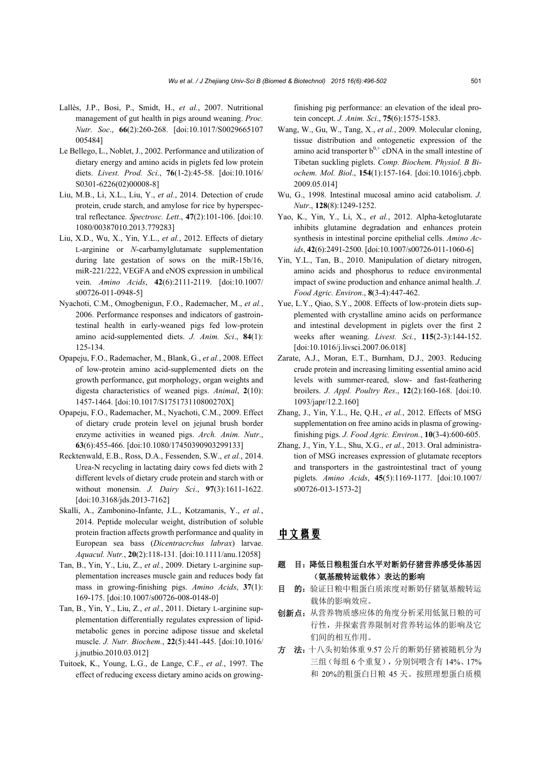- Lallès, J.P., Bosi, P., Smidt, H., *et al.*, 2007. Nutritional management of gut health in pigs around weaning. *Proc. Nutr. Soc*., **66**(2):260-268. [doi:10.1017/S0029665107 005484]
- Le Bellego, L., Noblet, J., 2002. Performance and utilization of dietary energy and amino acids in piglets fed low protein diets. *Livest. Prod. Sci*., **76**(1-2):45-58. [doi:10.1016/ S0301-6226(02)00008-8]
- Liu, M.B., Li, X.L., Liu, Y., *et al.*, 2014. Detection of crude protein, crude starch, and amylose for rice by hyperspectral reflectance. *Spectrosc. Lett*., **47**(2):101-106. [doi:10. 1080/00387010.2013.779283]
- Liu, X.D., Wu, X., Yin, Y.L., *et al.*, 2012. Effects of dietary L-arginine or *N*-carbamylglutamate supplementation during late gestation of sows on the miR-15b/16, miR-221/222, VEGFA and eNOS expression in umbilical vein. *Amino Acids*, **42**(6):2111-2119. [doi:10.1007/ s00726-011-0948-5]
- Nyachoti, C.M., Omogbenigun, F.O., Rademacher, M., *et al.*, 2006. Performance responses and indicators of gastrointestinal health in early-weaned pigs fed low-protein amino acid-supplemented diets. *J. Anim. Sci*., **84**(1): 125-134.
- Opapeju, F.O., Rademacher, M., Blank, G., *et al.*, 2008. Effect of low-protein amino acid-supplemented diets on the growth performance, gut morphology, organ weights and digesta characteristics of weaned pigs. *Animal*, **2**(10): 1457-1464. [doi:10.1017/S175173110800270X]
- Opapeju, F.O., Rademacher, M., Nyachoti, C.M., 2009. Effect of dietary crude protein level on jejunal brush border enzyme activities in weaned pigs. *Arch. Anim. Nutr*., **63**(6):455-466. [doi:10.1080/17450390903299133]
- Recktenwald, E.B., Ross, D.A., Fessenden, S.W., *et al.*, 2014. Urea-N recycling in lactating dairy cows fed diets with 2 different levels of dietary crude protein and starch with or without monensin. *J. Dairy Sci*., **97**(3):1611-1622. [doi:10.3168/jds.2013-7162]
- Skalli, A., Zambonino-Infante, J.L., Kotzamanis, Y., *et al.*, 2014. Peptide molecular weight, distribution of soluble protein fraction affects growth performance and quality in European sea bass (*Dicentracrchus labrax*) larvae. *Aquacul. Nutr.*, **20**(2):118-131. [doi:10.1111/anu.12058]
- Tan, B., Yin, Y., Liu, Z., *et al.*, 2009. Dietary L-arginine supplementation increases muscle gain and reduces body fat mass in growing-finishing pigs. *Amino Acids*, **37**(1): 169-175. [doi:10.1007/s00726-008-0148-0]
- Tan, B., Yin, Y., Liu, Z., *et al.*, 2011. Dietary L-arginine supplementation differentially regulates expression of lipidmetabolic genes in porcine adipose tissue and skeletal muscle. *J. Nutr. Biochem.*, **22**(5):441-445. [doi:10.1016/ j.jnutbio.2010.03.012]
- Tuitoek, K., Young, L.G., de Lange, C.F., *et al.*, 1997. The effect of reducing excess dietary amino acids on growing-

finishing pig performance: an elevation of the ideal protein concept. *J. Anim. Sci*., **75**(6):1575-1583.

- Wang, W., Gu, W., Tang, X., *et al.*, 2009. Molecular cloning, tissue distribution and ontogenetic expression of the amino acid transporter  $b^{0,+}$  cDNA in the small intestine of Tibetan suckling piglets. *Comp. Biochem. Physiol. B Biochem. Mol. Biol*., **154**(1):157-164. [doi:10.1016/j.cbpb. 2009.05.014]
- Wu, G., 1998. Intestinal mucosal amino acid catabolism. *J. Nutr*., **128**(8):1249-1252.
- Yao, K., Yin, Y., Li, X., *et al.*, 2012. Alpha-ketoglutarate inhibits glutamine degradation and enhances protein synthesis in intestinal porcine epithelial cells. *Amino Acids*, **42**(6):2491-2500. [doi:10.1007/s00726-011-1060-6]
- Yin, Y.L., Tan, B., 2010. Manipulation of dietary nitrogen, amino acids and phosphorus to reduce environmental impact of swine production and enhance animal health. *J. Food Agric. Environ*., **8**(3-4):447-462.
- Yue, L.Y., Qiao, S.Y., 2008. Effects of low-protein diets supplemented with crystalline amino acids on performance and intestinal development in piglets over the first 2 weeks after weaning. *Livest. Sci.*, **115**(2-3):144-152. [doi:10.1016/j.livsci.2007.06.018]
- Zarate, A.J., Moran, E.T., Burnham, D.J., 2003. Reducing crude protein and increasing limiting essential amino acid levels with summer-reared, slow- and fast-feathering broilers. *J. Appl. Poultry Res*., **12**(2):160-168. [doi:10. 1093/japr/12.2.160]
- Zhang, J., Yin, Y.L., He, Q.H., *et al.*, 2012. Effects of MSG supplementation on free amino acids in plasma of growingfinishing pigs. *J. Food Agric. Environ.*, **10**(3-4):600-605.
- Zhang, J., Yin, Y.L., Shu, X.G., *et al.*, 2013. Oral administration of MSG increases expression of glutamate receptors and transporters in the gastrointestinal tract of young piglets. *Amino Acids*, **45**(5):1169-1177. [doi:10.1007/ s00726-013-1573-2]

# 中文概要

# 题 目:降低日粮粗蛋白水平对断奶仔猪营养感受体基因 (氨基酸转运载体)表达的影响

- 目 的: 验证日粮中粗蛋白质浓度对断奶仔猪氨基酸转运 载体的影响效应。
- 创新点:从营养物质感应体的角度分析采用低氮日粮的可 行性,并探索营养限制对营养转运体的影响及它 们间的相互作用。
- 方 法: 十八头初始体重 9.57 公斤的断奶仔猪被随机分为 三组(每组 6 个重复),分别饲喂含有 14%、17% 和 20%的粗蛋白日粮 45 天。按照理想蛋白质模